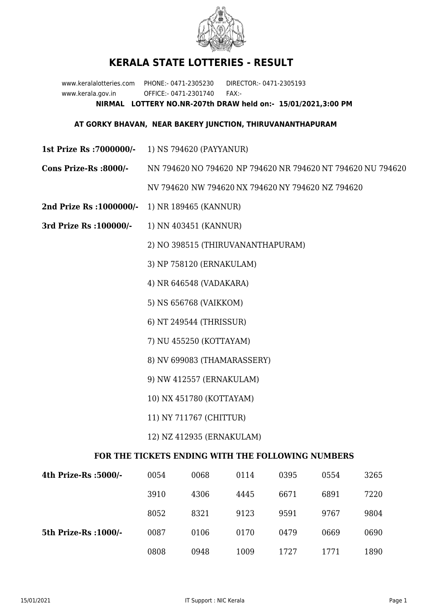

## **KERALA STATE LOTTERIES - RESULT**

www.keralalotteries.com PHONE:- 0471-2305230 DIRECTOR:- 0471-2305193 www.kerala.gov.in OFFICE:- 0471-2301740 FAX:- **NIRMAL LOTTERY NO.NR-207th DRAW held on:- 15/01/2021,3:00 PM**

## **AT GORKY BHAVAN, NEAR BAKERY JUNCTION, THIRUVANANTHAPURAM**

- **1st Prize Rs :7000000/-** 1) NS 794620 (PAYYANUR)
- **Cons Prize-Rs :8000/-** NN 794620 NO 794620 NP 794620 NR 794620 NT 794620 NU 794620

NV 794620 NW 794620 NX 794620 NY 794620 NZ 794620

- **2nd Prize Rs :1000000/-** 1) NR 189465 (KANNUR)
- **3rd Prize Rs :100000/-** 1) NN 403451 (KANNUR)

2) NO 398515 (THIRUVANANTHAPURAM)

3) NP 758120 (ERNAKULAM)

4) NR 646548 (VADAKARA)

- 5) NS 656768 (VAIKKOM)
- 6) NT 249544 (THRISSUR)
- 7) NU 455250 (KOTTAYAM)
- 8) NV 699083 (THAMARASSERY)
- 9) NW 412557 (ERNAKULAM)
- 10) NX 451780 (KOTTAYAM)
- 11) NY 711767 (CHITTUR)

## 12) NZ 412935 (ERNAKULAM)

## **FOR THE TICKETS ENDING WITH THE FOLLOWING NUMBERS**

| 4th Prize-Rs :5000/-  | 0054 | 0068 | 0114 | 0395 | 0554 | 3265 |
|-----------------------|------|------|------|------|------|------|
|                       | 3910 | 4306 | 4445 | 6671 | 6891 | 7220 |
|                       | 8052 | 8321 | 9123 | 9591 | 9767 | 9804 |
| 5th Prize-Rs : 1000/- | 0087 | 0106 | 0170 | 0479 | 0669 | 0690 |
|                       | 0808 | 0948 | 1009 | 1727 | 1771 | 1890 |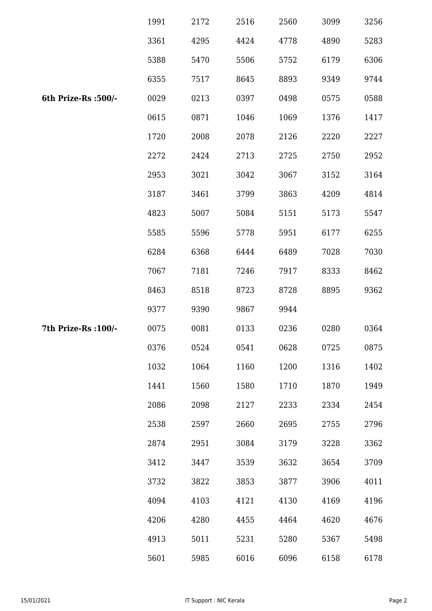|                      | 1991 | 2172 | 2516 | 2560 | 3099 | 3256 |
|----------------------|------|------|------|------|------|------|
|                      | 3361 | 4295 | 4424 | 4778 | 4890 | 5283 |
|                      | 5388 | 5470 | 5506 | 5752 | 6179 | 6306 |
|                      | 6355 | 7517 | 8645 | 8893 | 9349 | 9744 |
| 6th Prize-Rs :500/-  | 0029 | 0213 | 0397 | 0498 | 0575 | 0588 |
|                      | 0615 | 0871 | 1046 | 1069 | 1376 | 1417 |
|                      | 1720 | 2008 | 2078 | 2126 | 2220 | 2227 |
|                      | 2272 | 2424 | 2713 | 2725 | 2750 | 2952 |
|                      | 2953 | 3021 | 3042 | 3067 | 3152 | 3164 |
|                      | 3187 | 3461 | 3799 | 3863 | 4209 | 4814 |
|                      | 4823 | 5007 | 5084 | 5151 | 5173 | 5547 |
|                      | 5585 | 5596 | 5778 | 5951 | 6177 | 6255 |
|                      | 6284 | 6368 | 6444 | 6489 | 7028 | 7030 |
|                      | 7067 | 7181 | 7246 | 7917 | 8333 | 8462 |
|                      | 8463 | 8518 | 8723 | 8728 | 8895 | 9362 |
|                      | 9377 | 9390 | 9867 | 9944 |      |      |
| 7th Prize-Rs : 100/- | 0075 | 0081 | 0133 | 0236 | 0280 | 0364 |
|                      | 0376 | 0524 | 0541 | 0628 | 0725 | 0875 |
|                      | 1032 | 1064 | 1160 | 1200 | 1316 | 1402 |
|                      | 1441 | 1560 | 1580 | 1710 | 1870 | 1949 |
|                      | 2086 | 2098 | 2127 | 2233 | 2334 | 2454 |
|                      | 2538 | 2597 | 2660 | 2695 | 2755 | 2796 |
|                      | 2874 | 2951 | 3084 | 3179 | 3228 | 3362 |
|                      | 3412 | 3447 | 3539 | 3632 | 3654 | 3709 |
|                      | 3732 | 3822 | 3853 | 3877 | 3906 | 4011 |
|                      | 4094 | 4103 | 4121 | 4130 | 4169 | 4196 |
|                      | 4206 | 4280 | 4455 | 4464 | 4620 | 4676 |
|                      | 4913 | 5011 | 5231 | 5280 | 5367 | 5498 |
|                      | 5601 | 5985 | 6016 | 6096 | 6158 | 6178 |